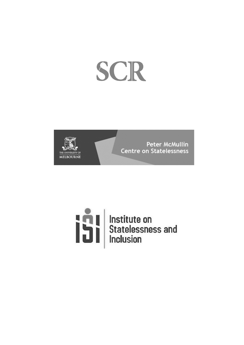# SCR



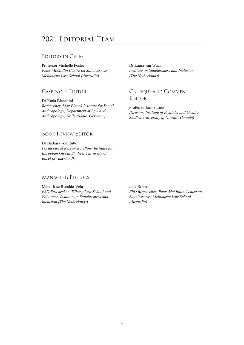# 2021 Editorial Team

### EDITORS IN CHIEF

Professor Michelle Foster *Peter McMullin Centre on Statelessness, Melbourne Law School (Australia)*

## CASE NOTE EDITOR

Dr Katia Bianchini *Researcher, Max Planck Institute for Social Anthropology, Department of Law and Anthropology, Halle (Saale, Germany)*

Dr Laura van Waas *Institute on Statelessness and Inclusion (The Netherlands)*

# CRITIQUE AND COMMENT EDITOR

Professor Jamie Liew *Director, Institute of Feminist and Gender Studies, University of Ottawa (Canada)*

## BOOK REVIEW EDITOR

Dr Barbara von Rütte *Postdoctoral Research Fellow, Institute for European Global Studies, University of Basel (Switzerland)*

# MANAGING EDITORS

Maria Jose Recalde-Vela *PhD Researcher, Tilburg Law School and Volunteer, Institute on Statelessness and Inclusion (The Netherlands)*

Jade Roberts *PhD Researcher, Peter McMullin Centre on Statelessness, Melbourne Law School (Australia)*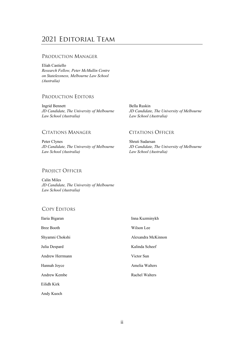# 2021 Editorial Team

## PRODUCTION MANAGER

Eliah Castiello *Research Fellow, Peter McMullin Centre on Statelessness, Melbourne Law School (Australia)*

## PRODUCTION EDITORS

Ingrid Bennett *JD Candidate, The University of Melbourne Law School (Australia)*

Bella Ruskin *JD Candidate, The University of Melbourne Law School (Australia)*

## CITATIONS MANAGER

Peter Clynes *JD Candidate, The University of Melbourne Law School (Australia)*

# CITATIONS OFFICER

Shruti Sudarsan *JD Candidate, The University of Melbourne Law School (Australia)*

## PROJECT OFFICER

Calin Miles *JD Candidate, The University of Melbourne Law School (Australia)*

# COPY EDITORS

| Ilaria Bigaran  | Inna Kuzminykh     |
|-----------------|--------------------|
| Bree Booth      | Wilson Lee         |
| Shyamni Chokshi | Alexandra McKinnon |
| Julia Despard   | Kalinda Scheef     |
| Andrew Herrmann | Victor Sun         |
| Hannah Joyce    | Amelia Walters     |
| Andrew Kembe    | Rachel Walters     |
| Eilidh Kirk     |                    |
| Andy Kuoch      |                    |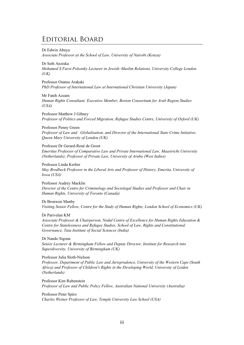# Editorial Board

#### Dr Edwin Abuya

*Associate Professor at the School of Law, University of Nairobi (Kenya)*

#### Dr Seth Anziska

*Mohamed S Farsi-Polosnky Lecturer in Jewish–Muslim Relations, University College London (UK)*

#### Professor Osamu Arakaki

*PhD Professor of International Law at International Christian University (Japan)*

#### Mr Fateh Azzam

*Human Rights Consultant; Executive Member, Boston Consortium for Arab Region Studies (USA)*

Professor Matthew J Gibney *Professor of Politics and Forced Migration, Refugee Studies Centre, University of Oxford (UK)*

Professor Penny Green *Professor of Law and Globalisation, and Director of the International State Crime Initiative, Queen Mary University of London (UK)*

#### Professor Dr Gerard-René de Groot

*Emeritus Professor of Comparative Law and Private International Law, Maastricht University (Netherlands); Professor of Private Law, University of Aruba (West Indies)*

#### Professor Linda Kerber

*May Brodbeck Professor in the Liberal Arts and Professor of History, Emerita, University of Iowa (USA)*

#### Professor Audrey Macklin

*Director of the Centre for Criminology and Sociolegal Studies and Professor and Chair in Human Rights, University of Toronto (Canada)*

#### Dr Bronwen Manby *Visiting Senior Fellow, Centre for the Study of Human Rights, London School of Economics (UK)*

#### Dr Parivelan KM

*Associate Professor & Chairperson, Nodal Centre of Excellence for Human Rights Education & Centre for Statelessness and Refugee Studies, School of Law, Rights and Constitutional Governance, Tata Institute of Social Sciences (India)*

#### Dr Nando Sigona

*Senior Lecturer & Birmingham Fellow and Deputy Director, Institute for Research into Superdiversity, University of Birmingham (UK)*

#### Professor Julia Sloth-Nielson

*Professor, Department of Public Law and Jurisprudence, University of the Western Cape (South Africa) and Professor of Children's Rights in the Developing World, University of Leiden (Netherlands)*

Professor Kim Rubenstein *Professor of Law and Public Policy Fellow, Australian National University (Australia)*

Professor Peter Spiro *Charles Weiner Professor of Law, Temple University Law School (USA)*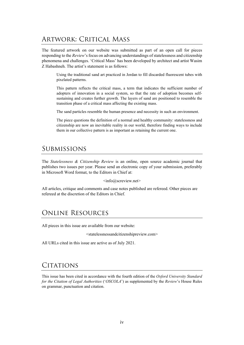# Artwork: Critical Mass

The featured artwork on our website was submitted as part of an open call for pieces responding to the *Review*'s focus on advancing understandings of statelessness and citizenship phenomena and challenges. 'Critical Mass' has been developed by architect and artist Wasim Z Habashneh. The artist's statement is as follows:

Using the traditional sand art practiced in Jordan to fill discarded fluorescent tubes with pixelated patterns.

This pattern reflects the critical mass, a term that indicates the sufficient number of adopters of innovation in a social system, so that the rate of adoption becomes selfsustaining and creates further growth. The layers of sand are positioned to resemble the transition phase of a critical mass affecting the existing mass.

The sand particles resemble the human presence and necessity in such an environment.

The piece questions the definition of a normal and healthy community: statelessness and citizenship are now an inevitable reality in our world, therefore finding ways to include them in our collective pattern is as important as retaining the current one.

# **SUBMISSIONS**

The *Statelessness & Citizenship Review* is an online, open source academic journal that publishes two issues per year. Please send an electronic copy of your submission, preferably in Microsoft Word format, to the Editors in Chief at:

 $\langle \text{info}(\hat{\omega}) \rangle$ screview.net

All articles, critique and comments and case notes published are refereed. Other pieces are refereed at the discretion of the Editors in Chief.

# Online Resources

All pieces in this issue are available from our website:

<statelessnessandcitizenshipreview.com>

All URLs cited in this issue are active as of July 2021.

# CITATIONS

This issue has been cited in accordance with the fourth edition of the *Oxford University Standard for the Citation of Legal Authorities* ('*OSCOLA*') as supplemented by the *Review*'s House Rules on grammar, punctuation and citation.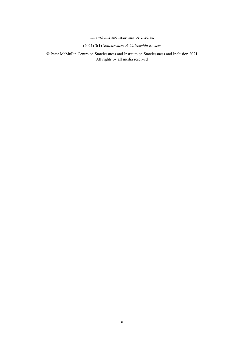This volume and issue may be cited as:

(2021) 3(1) *Statelessness & Citizenship Review*

© Peter McMullin Centre on Statelessness and Institute on Statelessness and Inclusion 2021 All rights by all media reserved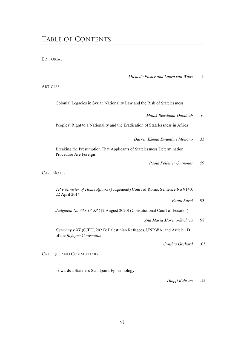EDITORIAL

*Michelle Foster and Laura van Waas* 1

ARTICLES

Colonial Legacies in Syrian Nationality Law and the Risk of Statelessness

*Malak Benslama-Dabdoub* 6

Peoples' Right to a Nationality and the Eradication of Statelessness in Africa

*Darren Ekema Ewumbue Monono* 33

Breaking the Presumption That Applicants of Statelessness Determination Procedure Are Foreign

*Paola Pelletier Quiñones* 59

CASE NOTES

*TP v Minister of Home Affairs* (Judgement) Court of Rome, Sentence No 9140, 22 April 2014

*Paolo Farci* 93

*Judgment No 335-13-JP* (12 August 2020) (Constitutional Court of Ecuador)

*Ana María Moreno-Sáchica* 98

*Germany v XT* (CJEU, 2021): Palestinian Refugees, UNRWA, and Article 1D of the *Refugee Convention*

*Cynthia Orchard* 105

CRITIQUE AND COMMENTARY

Towards a Stateless Standpoint Epistemology

*Haqqi Bahram* 113